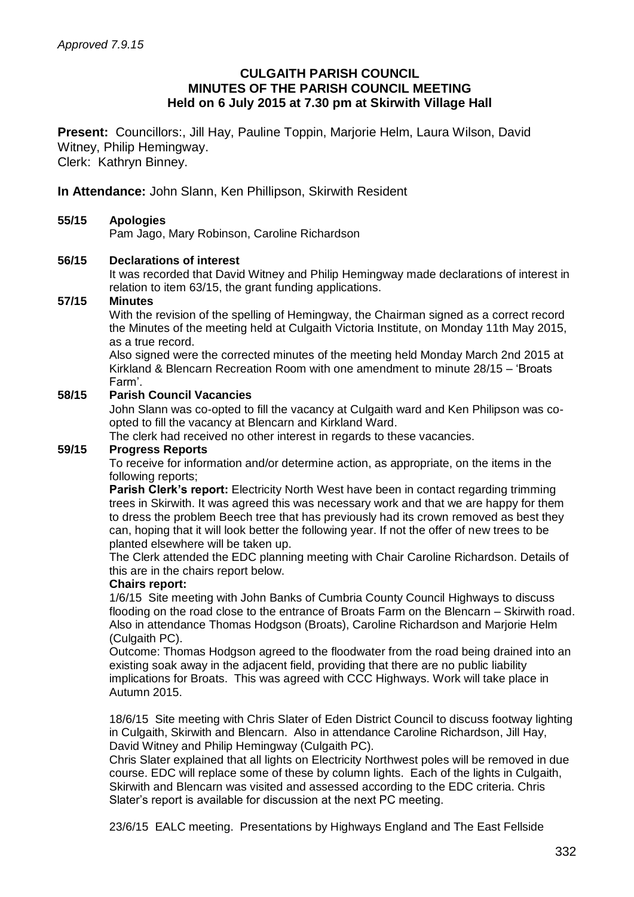### **CULGAITH PARISH COUNCIL MINUTES OF THE PARISH COUNCIL MEETING Held on 6 July 2015 at 7.30 pm at Skirwith Village Hall**

**Present:** Councillors:, Jill Hay, Pauline Toppin, Marjorie Helm, Laura Wilson, David Witney, Philip Hemingway. Clerk: Kathryn Binney.

**In Attendance:** John Slann, Ken Phillipson, Skirwith Resident

### **55/15 Apologies**

Pam Jago, Mary Robinson, Caroline Richardson

### **56/15 Declarations of interest**

It was recorded that David Witney and Philip Hemingway made declarations of interest in relation to item 63/15, the grant funding applications.

#### **57/15 Minutes**

With the revision of the spelling of Hemingway, the Chairman signed as a correct record the Minutes of the meeting held at Culgaith Victoria Institute, on Monday 11th May 2015, as a true record.

Also signed were the corrected minutes of the meeting held Monday March 2nd 2015 at Kirkland & Blencarn Recreation Room with one amendment to minute 28/15 – 'Broats Farm'.

## **58/15 Parish Council Vacancies**

John Slann was co-opted to fill the vacancy at Culgaith ward and Ken Philipson was coopted to fill the vacancy at Blencarn and Kirkland Ward.

The clerk had received no other interest in regards to these vacancies.

## **59/15 Progress Reports**

To receive for information and/or determine action, as appropriate, on the items in the following reports;

**Parish Clerk's report:** Electricity North West have been in contact regarding trimming trees in Skirwith. It was agreed this was necessary work and that we are happy for them to dress the problem Beech tree that has previously had its crown removed as best they can, hoping that it will look better the following year. If not the offer of new trees to be planted elsewhere will be taken up.

The Clerk attended the EDC planning meeting with Chair Caroline Richardson. Details of this are in the chairs report below.

#### **Chairs report:**

1/6/15 Site meeting with John Banks of Cumbria County Council Highways to discuss flooding on the road close to the entrance of Broats Farm on the Blencarn – Skirwith road. Also in attendance Thomas Hodgson (Broats), Caroline Richardson and Marjorie Helm (Culgaith PC).

Outcome: Thomas Hodgson agreed to the floodwater from the road being drained into an existing soak away in the adjacent field, providing that there are no public liability implications for Broats. This was agreed with CCC Highways. Work will take place in Autumn 2015.

18/6/15 Site meeting with Chris Slater of Eden District Council to discuss footway lighting in Culgaith, Skirwith and Blencarn. Also in attendance Caroline Richardson, Jill Hay, David Witney and Philip Hemingway (Culgaith PC).

Chris Slater explained that all lights on Electricity Northwest poles will be removed in due course. EDC will replace some of these by column lights. Each of the lights in Culgaith, Skirwith and Blencarn was visited and assessed according to the EDC criteria. Chris Slater's report is available for discussion at the next PC meeting.

23/6/15 EALC meeting. Presentations by Highways England and The East Fellside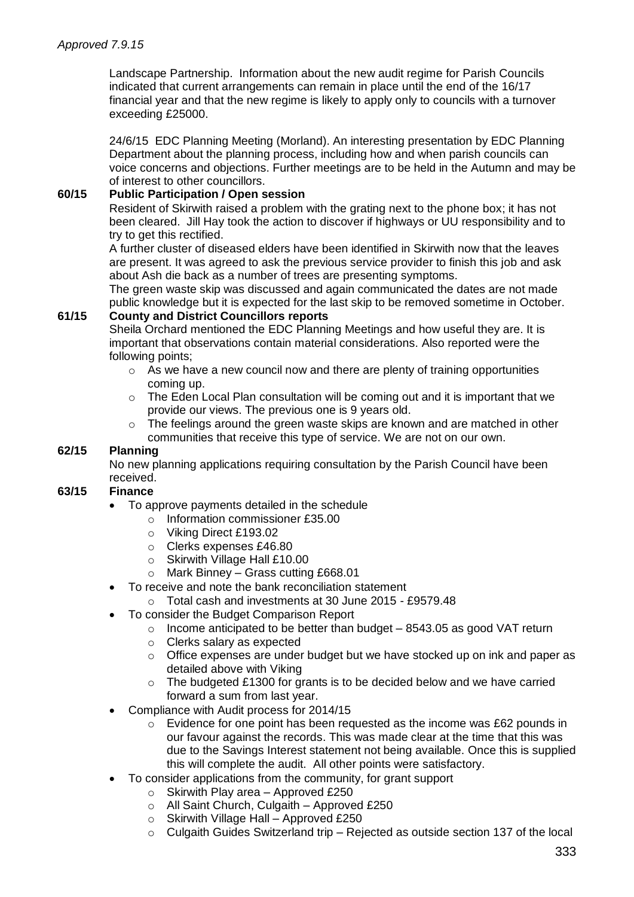Landscape Partnership. Information about the new audit regime for Parish Councils indicated that current arrangements can remain in place until the end of the 16/17 financial year and that the new regime is likely to apply only to councils with a turnover exceeding £25000.

24/6/15 EDC Planning Meeting (Morland). An interesting presentation by EDC Planning Department about the planning process, including how and when parish councils can voice concerns and objections. Further meetings are to be held in the Autumn and may be of interest to other councillors.

# **60/15 Public Participation / Open session**

Resident of Skirwith raised a problem with the grating next to the phone box; it has not been cleared. Jill Hay took the action to discover if highways or UU responsibility and to try to get this rectified.

A further cluster of diseased elders have been identified in Skirwith now that the leaves are present. It was agreed to ask the previous service provider to finish this job and ask about Ash die back as a number of trees are presenting symptoms.

The green waste skip was discussed and again communicated the dates are not made public knowledge but it is expected for the last skip to be removed sometime in October.

### **61/15 County and District Councillors reports**

Sheila Orchard mentioned the EDC Planning Meetings and how useful they are. It is important that observations contain material considerations. Also reported were the following points;

- $\circ$  As we have a new council now and there are plenty of training opportunities coming up.
- $\circ$  The Eden Local Plan consultation will be coming out and it is important that we provide our views. The previous one is 9 years old.
- $\circ$  The feelings around the green waste skips are known and are matched in other communities that receive this type of service. We are not on our own.

## **62/15 Planning**

No new planning applications requiring consultation by the Parish Council have been received.

## **63/15 Finance**

- To approve payments detailed in the schedule
	- o Information commissioner £35.00
	- o Viking Direct £193.02
	- o Clerks expenses £46.80
	- o Skirwith Village Hall £10.00
	- o Mark Binney Grass cutting £668.01
- To receive and note the bank reconciliation statement
	- o Total cash and investments at 30 June 2015 £9579.48
- To consider the Budget Comparison Report
	- $\circ$  Income anticipated to be better than budget  $-8543.05$  as good VAT return
	- o Clerks salary as expected
	- o Office expenses are under budget but we have stocked up on ink and paper as detailed above with Viking
	- $\circ$  The budgeted £1300 for grants is to be decided below and we have carried forward a sum from last year.
- Compliance with Audit process for 2014/15
	- $\circ$  Evidence for one point has been requested as the income was £62 pounds in our favour against the records. This was made clear at the time that this was due to the Savings Interest statement not being available. Once this is supplied this will complete the audit. All other points were satisfactory.
- To consider applications from the community, for grant support
	- $\circ$  Skirwith Play area Approved £250
	- o All Saint Church, Culgaith Approved £250
	- $\circ$  Skirwith Village Hall Approved £250
	- o Culgaith Guides Switzerland trip Rejected as outside section 137 of the local